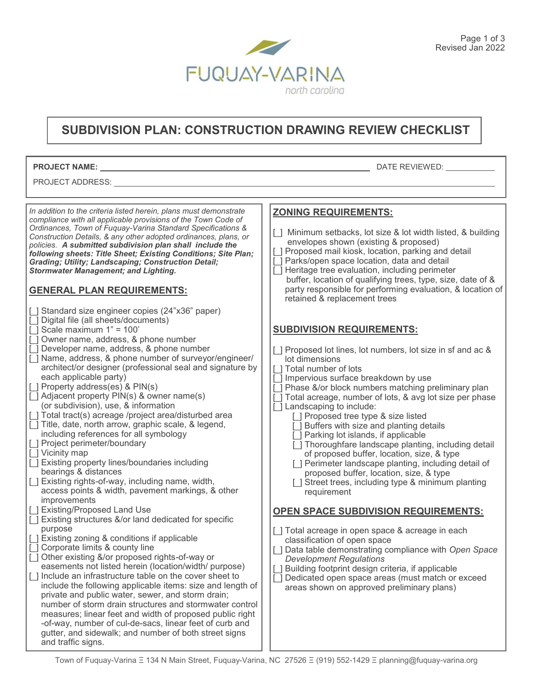

## **SUBDIVISION PLAN: CONSTRUCTION DRAWING REVIEW CHECKLIST**

Г

| <b>PROJECT NAME:</b>                                                                                                                                                                                                                                                                                                                                                                                                                                                                                                                                                                                                                                                                                                                                                                                                                                                                                                                                                                                                                                                                                                                                                                                                                                                                                                                                                                                                                                                                                                                                                                                                                                                                                                                                                                                                                                                                                                                                                                                                                                                                                                                                                                                                                    | DATE REVIEWED:                                                                                                                                                                                                                                                                                                                                                                                                                                                                                                                                                                                                                                                                                                                                                                                                                                                                                                                                                                                                                                                                                                                                                                                                                                                                                                                                                                                                                                                                                                                                                                                                  |
|-----------------------------------------------------------------------------------------------------------------------------------------------------------------------------------------------------------------------------------------------------------------------------------------------------------------------------------------------------------------------------------------------------------------------------------------------------------------------------------------------------------------------------------------------------------------------------------------------------------------------------------------------------------------------------------------------------------------------------------------------------------------------------------------------------------------------------------------------------------------------------------------------------------------------------------------------------------------------------------------------------------------------------------------------------------------------------------------------------------------------------------------------------------------------------------------------------------------------------------------------------------------------------------------------------------------------------------------------------------------------------------------------------------------------------------------------------------------------------------------------------------------------------------------------------------------------------------------------------------------------------------------------------------------------------------------------------------------------------------------------------------------------------------------------------------------------------------------------------------------------------------------------------------------------------------------------------------------------------------------------------------------------------------------------------------------------------------------------------------------------------------------------------------------------------------------------------------------------------------------|-----------------------------------------------------------------------------------------------------------------------------------------------------------------------------------------------------------------------------------------------------------------------------------------------------------------------------------------------------------------------------------------------------------------------------------------------------------------------------------------------------------------------------------------------------------------------------------------------------------------------------------------------------------------------------------------------------------------------------------------------------------------------------------------------------------------------------------------------------------------------------------------------------------------------------------------------------------------------------------------------------------------------------------------------------------------------------------------------------------------------------------------------------------------------------------------------------------------------------------------------------------------------------------------------------------------------------------------------------------------------------------------------------------------------------------------------------------------------------------------------------------------------------------------------------------------------------------------------------------------|
| PROJECT ADDRESS:                                                                                                                                                                                                                                                                                                                                                                                                                                                                                                                                                                                                                                                                                                                                                                                                                                                                                                                                                                                                                                                                                                                                                                                                                                                                                                                                                                                                                                                                                                                                                                                                                                                                                                                                                                                                                                                                                                                                                                                                                                                                                                                                                                                                                        |                                                                                                                                                                                                                                                                                                                                                                                                                                                                                                                                                                                                                                                                                                                                                                                                                                                                                                                                                                                                                                                                                                                                                                                                                                                                                                                                                                                                                                                                                                                                                                                                                 |
|                                                                                                                                                                                                                                                                                                                                                                                                                                                                                                                                                                                                                                                                                                                                                                                                                                                                                                                                                                                                                                                                                                                                                                                                                                                                                                                                                                                                                                                                                                                                                                                                                                                                                                                                                                                                                                                                                                                                                                                                                                                                                                                                                                                                                                         |                                                                                                                                                                                                                                                                                                                                                                                                                                                                                                                                                                                                                                                                                                                                                                                                                                                                                                                                                                                                                                                                                                                                                                                                                                                                                                                                                                                                                                                                                                                                                                                                                 |
| In addition to the criteria listed herein, plans must demonstrate<br>compliance with all applicable provisions of the Town Code of<br>Ordinances, Town of Fuquay-Varina Standard Specifications &<br>Construction Details, & any other adopted ordinances, plans, or<br>policies. A submitted subdivision plan shall include the<br>following sheets: Title Sheet; Existing Conditions; Site Plan;<br><b>Grading; Utility; Landscaping; Construction Detail;</b><br><b>Stormwater Management; and Lighting.</b><br><b>GENERAL PLAN REQUIREMENTS:</b><br>[ ] Standard size engineer copies (24"x36" paper)<br>[ ] Digital file (all sheets/documents)<br>[] Scale maximum $1" = 100"$<br>[] Owner name, address, & phone number<br>Developer name, address, & phone number<br>Name, address, & phone number of surveyor/engineer/<br>architect/or designer (professional seal and signature by<br>each applicable party)<br>[ ] Property address(es) & PIN(s)<br>[ ] Adjacent property PIN(s) & owner name(s)<br>(or subdivision), use, & information<br>[ ] Total tract(s) acreage /project area/disturbed area<br>[] Title, date, north arrow, graphic scale, & legend,<br>including references for all symbology<br>[ ] Project perimeter/boundary<br>[ ] Vicinity map<br>[ ] Existing property lines/boundaries including<br>bearings & distances<br>[ ] Existing rights-of-way, including name, width,<br>access points & width, pavement markings, & other<br>improvements<br>[ ] Existing/Proposed Land Use<br>[] Existing structures &/or land dedicated for specific<br>purpose<br>[ ] Existing zoning & conditions if applicable<br>[] Corporate limits & county line<br>Other existing &/or proposed rights-of-way or<br>easements not listed herein (location/width/ purpose)<br>I Include an infrastructure table on the cover sheet to<br>include the following applicable items: size and length of<br>private and public water, sewer, and storm drain;<br>number of storm drain structures and stormwater control<br>measures; linear feet and width of proposed public right<br>-of-way, number of cul-de-sacs, linear feet of curb and<br>gutter, and sidewalk; and number of both street signs<br>and traffic signs. | <b>ZONING REQUIREMENTS:</b><br>[] Minimum setbacks, lot size & lot width listed, & building<br>envelopes shown (existing & proposed)<br>[ ] Proposed mail kiosk, location, parking and detail<br>[ ] Parks/open space location, data and detail<br>[] Heritage tree evaluation, including perimeter<br>buffer, location of qualifying trees, type, size, date of &<br>party responsible for performing evaluation, & location of<br>retained & replacement trees<br><b>SUBDIVISION REQUIREMENTS:</b><br>[] Proposed lot lines, lot numbers, lot size in sf and ac &<br>lot dimensions<br>[ ] Total number of lots<br>[ ] Impervious surface breakdown by use<br>] Phase &/or block numbers matching preliminary plan<br>Total acreage, number of lots, & avg lot size per phase<br>[] Landscaping to include:<br>[] Proposed tree type & size listed<br>[ ] Buffers with size and planting details<br>[ ] Parking lot islands, if applicable<br>[ ] Thoroughfare landscape planting, including detail<br>of proposed buffer, location, size, & type<br>[ ] Perimeter landscape planting, including detail of<br>proposed buffer, location, size, & type<br>] Street trees, including type & minimum planting<br>requirement<br><b>OPEN SPACE SUBDIVISION REQUIREMENTS:</b><br>∐ Total acreage in open space & acreage in each<br>classification of open space<br>] Data table demonstrating compliance with Open Space<br><b>Development Regulations</b><br>Building footprint design criteria, if applicable<br>Dedicated open space areas (must match or exceed<br>areas shown on approved preliminary plans) |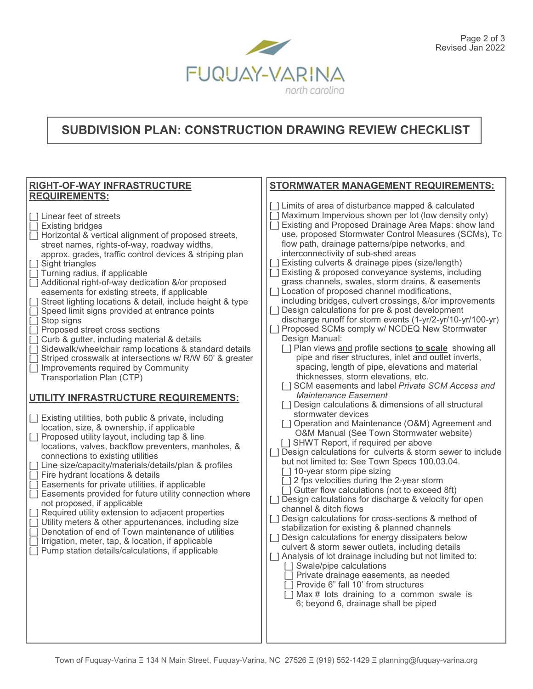

## **SUBDIVISION PLAN: CONSTRUCTION DRAWING REVIEW CHECKLIST**

| <b>RIGHT-OF-WAY INFRASTRUCTURE</b>                                                                                                                                                                                                                                                                                                                                                                                                                                                                                                                                                                                                                                                                                                                                                                                                                                                                                                                                                                                                                                                                                                                                                                                                                                                                                                                                                                                                                                                                                                                                                                                                                                                                                                | <b>STORMWATER MANAGEMENT REQUIREMENTS:</b>                                                                                                                                                                                                                                                                                                                                                                                                                                                                                                                                                                                                                                                                                                                                                                                                                                                                                                                                                                                                                                                                                                                                                                                                                                                                                                                                                                                                                                                                                                                                                                                                                                                                                                                                                                                                                                                                                                                                                                                                                                                                                                                                       |
|-----------------------------------------------------------------------------------------------------------------------------------------------------------------------------------------------------------------------------------------------------------------------------------------------------------------------------------------------------------------------------------------------------------------------------------------------------------------------------------------------------------------------------------------------------------------------------------------------------------------------------------------------------------------------------------------------------------------------------------------------------------------------------------------------------------------------------------------------------------------------------------------------------------------------------------------------------------------------------------------------------------------------------------------------------------------------------------------------------------------------------------------------------------------------------------------------------------------------------------------------------------------------------------------------------------------------------------------------------------------------------------------------------------------------------------------------------------------------------------------------------------------------------------------------------------------------------------------------------------------------------------------------------------------------------------------------------------------------------------|----------------------------------------------------------------------------------------------------------------------------------------------------------------------------------------------------------------------------------------------------------------------------------------------------------------------------------------------------------------------------------------------------------------------------------------------------------------------------------------------------------------------------------------------------------------------------------------------------------------------------------------------------------------------------------------------------------------------------------------------------------------------------------------------------------------------------------------------------------------------------------------------------------------------------------------------------------------------------------------------------------------------------------------------------------------------------------------------------------------------------------------------------------------------------------------------------------------------------------------------------------------------------------------------------------------------------------------------------------------------------------------------------------------------------------------------------------------------------------------------------------------------------------------------------------------------------------------------------------------------------------------------------------------------------------------------------------------------------------------------------------------------------------------------------------------------------------------------------------------------------------------------------------------------------------------------------------------------------------------------------------------------------------------------------------------------------------------------------------------------------------------------------------------------------------|
| <b>REQUIREMENTS:</b><br>[] Linear feet of streets<br><b>Existing bridges</b><br>$\perp$<br>Horizontal & vertical alignment of proposed streets,<br>street names, rights-of-way, roadway widths,<br>approx. grades, traffic control devices & striping plan<br>[ ] Sight triangles<br><b>[</b> ] Turning radius, if applicable<br>[ ] Additional right-of-way dedication &/or proposed<br>easements for existing streets, if applicable<br>Street lighting locations & detail, include height & type<br>Speed limit signs provided at entrance points<br>□ Stop signs<br>[] Proposed street cross sections<br>Curb & gutter, including material & details<br>[] Sidewalk/wheelchair ramp locations & standard details<br>Striped crosswalk at intersections w/ R/W 60' & greater<br>[ ] Improvements required by Community<br>Transportation Plan (CTP)<br>UTILITY INFRASTRUCTURE REQUIREMENTS:<br>[ ] Existing utilities, both public & private, including<br>location, size, & ownership, if applicable<br>[ ] Proposed utility layout, including tap & line<br>locations, valves, backflow preventers, manholes, &<br>connections to existing utilities<br>[ ] Line size/capacity/materials/details/plan & profiles<br>[] Fire hydrant locations & details<br>Easements for private utilities, if applicable<br>Easements provided for future utility connection where<br>$\lceil$ 1<br>not proposed, if applicable<br>[ ] Required utility extension to adjacent properties<br>[ ] Utility meters & other appurtenances, including size<br>Denotation of end of Town maintenance of utilities<br>[] Irrigation, meter, tap, & location, if applicable<br>$\lceil$ $\rceil$<br>Pump station details/calculations, if applicable | [ ] Limits of area of disturbance mapped & calculated<br>[ ] Maximum Impervious shown per lot (low density only)<br>Existing and Proposed Drainage Area Maps: show land<br>use, proposed Stormwater Control Measures (SCMs), Tc<br>flow path, drainage patterns/pipe networks, and<br>interconnectivity of sub-shed areas<br>[ ] Existing culverts & drainage pipes (size/length)<br>[ ] Existing & proposed conveyance systems, including<br>grass channels, swales, storm drains, & easements<br>[ ] Location of proposed channel modifications,<br>including bridges, culvert crossings, &/or improvements<br>[ ] Design calculations for pre & post development<br>discharge runoff for storm events (1-yr/2-yr/10-yr/100-yr)<br>Proposed SCMs comply w/ NCDEQ New Stormwater<br>Design Manual:<br>[] Plan views and profile sections <b>to scale</b> showing all<br>pipe and riser structures, inlet and outlet inverts,<br>spacing, length of pipe, elevations and material<br>thicknesses, storm elevations, etc.<br>[] SCM easements and label Private SCM Access and<br><b>Maintenance Easement</b><br>[] Design calculations & dimensions of all structural<br>stormwater devices<br>[] Operation and Maintenance (O&M) Agreement and<br>O&M Manual (See Town Stormwater website)<br>[ ] SHWT Report, if required per above<br>[] Design calculations for culverts & storm sewer to include<br>but not limited to: See Town Specs 100.03.04.<br>[ ] 10-year storm pipe sizing<br>2 fps velocities during the 2-year storm<br>[ ] Gutter flow calculations (not to exceed 8ft)<br>[ ] Design calculations for discharge & velocity for open<br>channel & ditch flows<br>[ ] Design calculations for cross-sections & method of<br>stabilization for existing & planned channels<br>[] Design calculations for energy dissipaters below<br>culvert & storm sewer outlets, including details<br>[] Analysis of lot drainage including but not limited to:<br><b>□ Swale/pipe calculations</b><br>[ ] Private drainage easements, as needed<br>Provide 6" fall 10' from structures<br>[ ] Max # lots draining to a common swale is<br>6; beyond 6, drainage shall be piped |